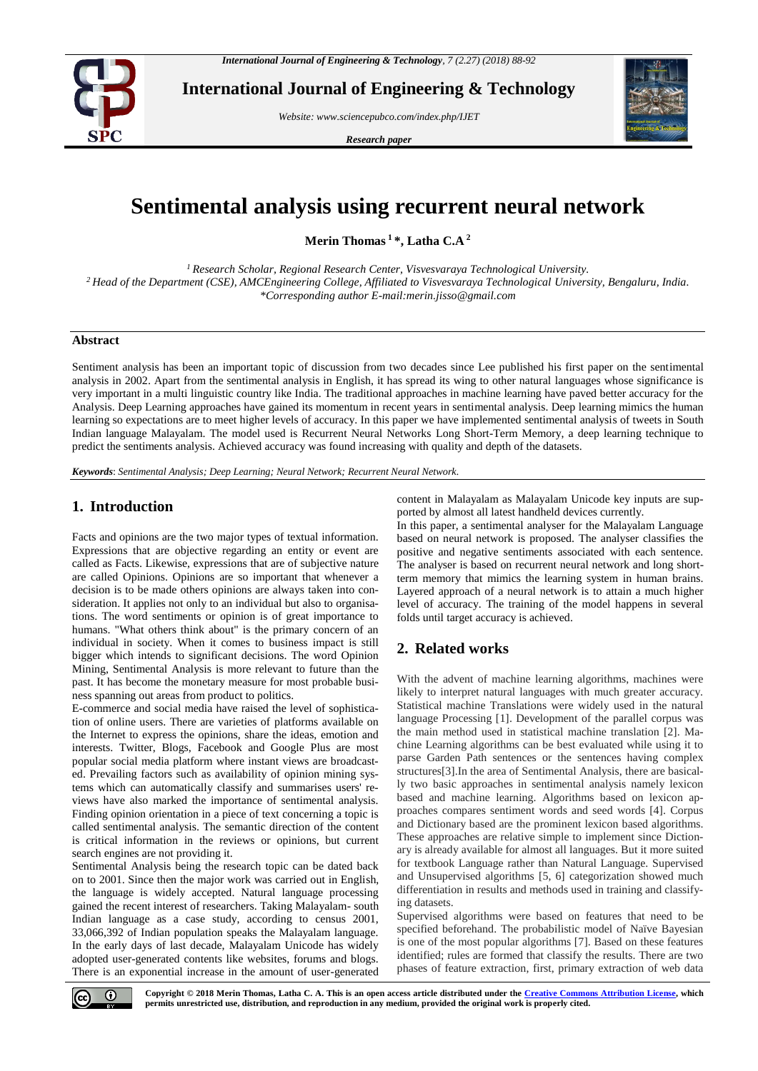

**International Journal of Engineering & Technology**

*Website: www.sciencepubco.com/index.php/IJET* 

*Research paper*



# **Sentimental analysis using recurrent neural network**

**Merin Thomas <sup>1</sup>\*, Latha C.A <sup>2</sup>**

*<sup>1</sup>Research Scholar, Regional Research Center, Visvesvaraya Technological University. <sup>2</sup>Head of the Department (CSE), AMCEngineering College, Affiliated to Visvesvaraya Technological University, Bengaluru, India. \*Corresponding author E-mail:merin.jisso@gmail.com*

## **Abstract**

Sentiment analysis has been an important topic of discussion from two decades since Lee published his first paper on the sentimental analysis in 2002. Apart from the sentimental analysis in English, it has spread its wing to other natural languages whose significance is very important in a multi linguistic country like India. The traditional approaches in machine learning have paved better accuracy for the Analysis. Deep Learning approaches have gained its momentum in recent years in sentimental analysis. Deep learning mimics the human learning so expectations are to meet higher levels of accuracy. In this paper we have implemented sentimental analysis of tweets in South Indian language Malayalam. The model used is Recurrent Neural Networks Long Short-Term Memory, a deep learning technique to predict the sentiments analysis. Achieved accuracy was found increasing with quality and depth of the datasets.

*Keywords*: *Sentimental Analysis; Deep Learning; Neural Network; Recurrent Neural Network.*

## **1. Introduction**

Facts and opinions are the two major types of textual information. Expressions that are objective regarding an entity or event are called as Facts. Likewise, expressions that are of subjective nature are called Opinions. Opinions are so important that whenever a decision is to be made others opinions are always taken into consideration. It applies not only to an individual but also to organisations. The word sentiments or opinion is of great importance to humans. "What others think about" is the primary concern of an individual in society. When it comes to business impact is still bigger which intends to significant decisions. The word Opinion Mining, Sentimental Analysis is more relevant to future than the past. It has become the monetary measure for most probable business spanning out areas from product to politics.

E-commerce and social media have raised the level of sophistication of online users. There are varieties of platforms available on the Internet to express the opinions, share the ideas, emotion and interests. Twitter, Blogs, Facebook and Google Plus are most popular social media platform where instant views are broadcasted. Prevailing factors such as availability of opinion mining systems which can automatically classify and summarises users' reviews have also marked the importance of sentimental analysis. Finding opinion orientation in a piece of text concerning a topic is called sentimental analysis. The semantic direction of the content is critical information in the reviews or opinions, but current search engines are not providing it.

Sentimental Analysis being the research topic can be dated back on to 2001. Since then the major work was carried out in English, the language is widely accepted. Natural language processing gained the recent interest of researchers. Taking Malayalam- south Indian language as a case study, according to census 2001, 33,066,392 of Indian population speaks the Malayalam language. In the early days of last decade, Malayalam Unicode has widely adopted user-generated contents like websites, forums and blogs. There is an exponential increase in the amount of user-generated content in Malayalam as Malayalam Unicode key inputs are supported by almost all latest handheld devices currently.

In this paper, a sentimental analyser for the Malayalam Language based on neural network is proposed. The analyser classifies the positive and negative sentiments associated with each sentence. The analyser is based on recurrent neural network and long shortterm memory that mimics the learning system in human brains. Layered approach of a neural network is to attain a much higher level of accuracy. The training of the model happens in several folds until target accuracy is achieved.

## **2. Related works**

With the advent of machine learning algorithms, machines were likely to interpret natural languages with much greater accuracy. Statistical machine Translations were widely used in the natural language Processing [1]. Development of the parallel corpus was the main method used in statistical machine translation [2]. Machine Learning algorithms can be best evaluated while using it to parse Garden Path sentences or the sentences having complex structures[3].In the area of Sentimental Analysis, there are basically two basic approaches in sentimental analysis namely lexicon based and machine learning. Algorithms based on lexicon approaches compares sentiment words and seed words [4]. Corpus and Dictionary based are the prominent lexicon based algorithms. These approaches are relative simple to implement since Dictionary is already available for almost all languages. But it more suited for textbook Language rather than Natural Language. Supervised and Unsupervised algorithms [5, 6] categorization showed much differentiation in results and methods used in training and classifying datasets.

Supervised algorithms were based on features that need to be specified beforehand. The probabilistic model of Naïve Bayesian is one of the most popular algorithms [7]. Based on these features identified; rules are formed that classify the results. There are two phases of feature extraction, first, primary extraction of web data

 $\odot$ 

**Copyright © 2018 Merin Thomas, Latha C. A. This is an open access article distributed under the [Creative Commons Attribution License,](http://creativecommons.org/licenses/by/3.0/) which permits unrestricted use, distribution, and reproduction in any medium, provided the original work is properly cited.**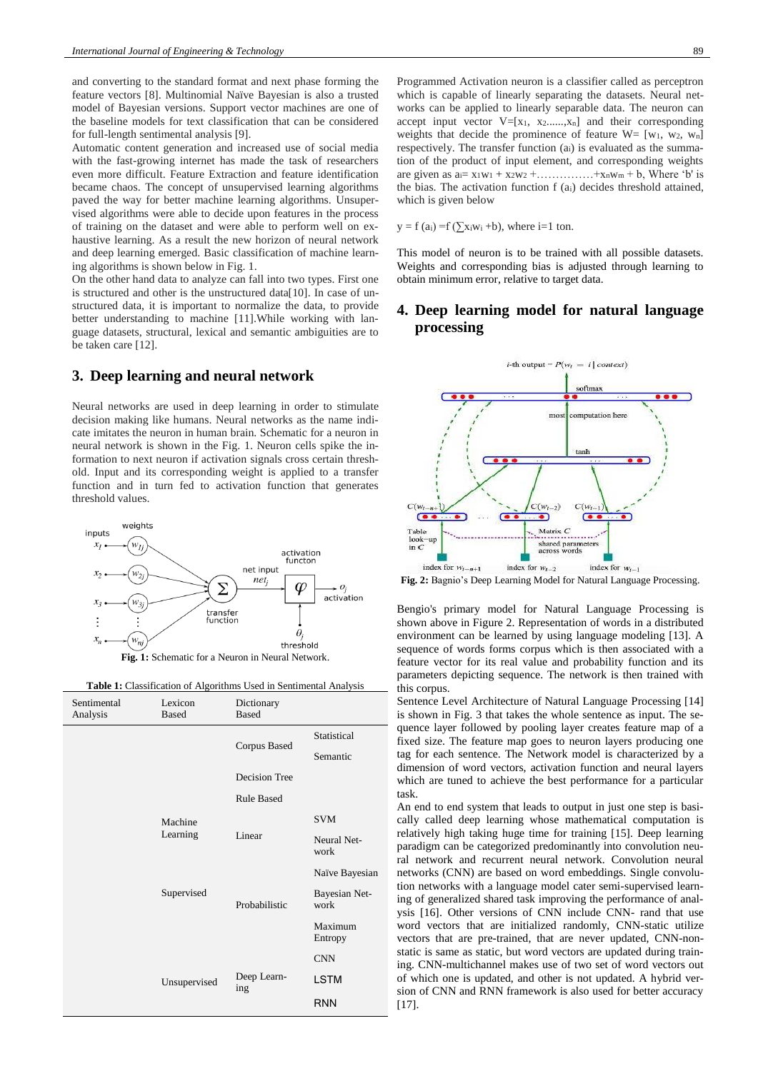and converting to the standard format and next phase forming the feature vectors [8]. Multinomial Naïve Bayesian is also a trusted model of Bayesian versions. Support vector machines are one of the baseline models for text classification that can be considered for full-length sentimental analysis [9].

Automatic content generation and increased use of social media with the fast-growing internet has made the task of researchers even more difficult. Feature Extraction and feature identification became chaos. The concept of unsupervised learning algorithms paved the way for better machine learning algorithms. Unsupervised algorithms were able to decide upon features in the process of training on the dataset and were able to perform well on exhaustive learning. As a result the new horizon of neural network and deep learning emerged. Basic classification of machine learning algorithms is shown below in Fig. 1.

On the other hand data to analyze can fall into two types. First one is structured and other is the unstructured data[10]. In case of unstructured data, it is important to normalize the data, to provide better understanding to machine [11].While working with language datasets, structural, lexical and semantic ambiguities are to be taken care [12].

## **3. Deep learning and neural network**

Neural networks are used in deep learning in order to stimulate decision making like humans. Neural networks as the name indicate imitates the neuron in human brain. Schematic for a neuron in neural network is shown in the Fig. 1. Neuron cells spike the information to next neuron if activation signals cross certain threshold. Input and its corresponding weight is applied to a transfer function and in turn fed to activation function that generates threshold values.



**Table 1:** Classification of Algorithms Used in Sentimental Analysis

| Sentimental<br>Analysis | Lexicon<br><b>Based</b> | Dictionary<br><b>Based</b> |                       |
|-------------------------|-------------------------|----------------------------|-----------------------|
|                         |                         | Corpus Based               | Statistical           |
|                         |                         |                            | Semantic              |
|                         |                         | Decision Tree              |                       |
|                         |                         | <b>Rule Based</b>          |                       |
|                         | Machine<br>Learning     | Linear                     | <b>SVM</b>            |
|                         |                         |                            | Neural Net-<br>work   |
|                         |                         |                            | Naïve Bayesian        |
|                         | Supervised              | Probabilistic              | Bayesian Net-<br>work |
|                         |                         |                            | Maximum<br>Entropy    |
|                         |                         |                            | <b>CNN</b>            |
|                         | Unsupervised            | Deep Learn-<br>ing         | LSTM                  |
|                         |                         |                            | <b>RNN</b>            |

Programmed Activation neuron is a classifier called as perceptron which is capable of linearly separating the datasets. Neural networks can be applied to linearly separable data. The neuron can accept input vector  $V=[x_1, x_2, \ldots, x_n]$  and their corresponding weights that decide the prominence of feature  $W = [w_1, w_2, w_n]$ respectively. The transfer function (ai) is evaluated as the summation of the product of input element, and corresponding weights are given as  $a_i = x_1w_1 + x_2w_2 + \dots + x_nw_m + b$ , Where 'b' is the bias. The activation function f (ai) decides threshold attained, which is given below

 $y = f(a_i) = f(\sum x_iw_i + b)$ , where i=1 ton.

This model of neuron is to be trained with all possible datasets. Weights and corresponding bias is adjusted through learning to obtain minimum error, relative to target data.

# **4. Deep learning model for natural language processing**



**Fig. 2:** Bagnio's Deep Learning Model for Natural Language Processing.

Bengio's primary model for Natural Language Processing is shown above in Figure 2. Representation of words in a distributed environment can be learned by using language modeling [13]. A sequence of words forms corpus which is then associated with a feature vector for its real value and probability function and its parameters depicting sequence. The network is then trained with this corpus.

Sentence Level Architecture of Natural Language Processing [14] is shown in Fig. 3 that takes the whole sentence as input. The sequence layer followed by pooling layer creates feature map of a fixed size. The feature map goes to neuron layers producing one tag for each sentence. The Network model is characterized by a dimension of word vectors, activation function and neural layers which are tuned to achieve the best performance for a particular task.

An end to end system that leads to output in just one step is basically called deep learning whose mathematical computation is relatively high taking huge time for training [15]. Deep learning paradigm can be categorized predominantly into convolution neural network and recurrent neural network. Convolution neural networks (CNN) are based on word embeddings. Single convolution networks with a language model cater semi-supervised learning of generalized shared task improving the performance of analysis [16]. Other versions of CNN include CNN- rand that use word vectors that are initialized randomly, CNN-static utilize vectors that are pre-trained, that are never updated, CNN-nonstatic is same as static, but word vectors are updated during training. CNN-multichannel makes use of two set of word vectors out of which one is updated, and other is not updated. A hybrid version of CNN and RNN framework is also used for better accuracy [17].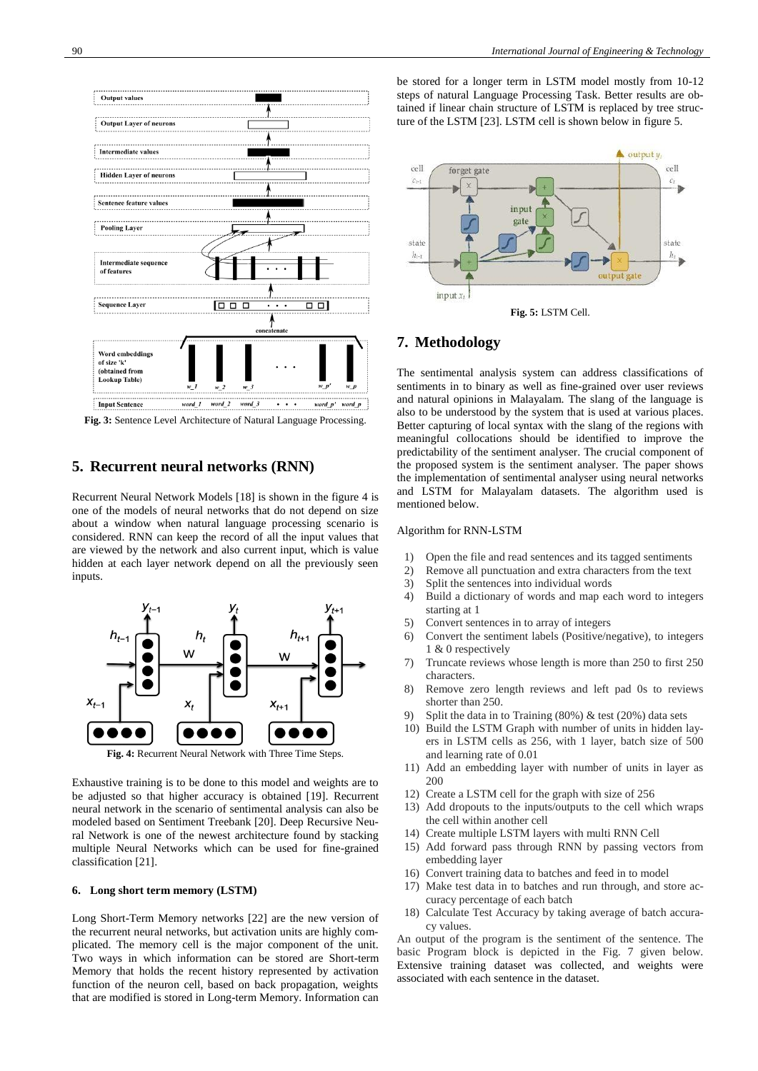

**Fig. 3:** Sentence Level Architecture of Natural Language Processing.

## **5. Recurrent neural networks (RNN)**

Recurrent Neural Network Models [18] is shown in the figure 4 is one of the models of neural networks that do not depend on size about a window when natural language processing scenario is considered. RNN can keep the record of all the input values that are viewed by the network and also current input, which is value hidden at each layer network depend on all the previously seen inputs.



**Fig. 4:** Recurrent Neural Network with Three Time Steps.

Exhaustive training is to be done to this model and weights are to be adjusted so that higher accuracy is obtained [19]. Recurrent neural network in the scenario of sentimental analysis can also be modeled based on Sentiment Treebank [20]. Deep Recursive Neural Network is one of the newest architecture found by stacking multiple Neural Networks which can be used for fine-grained classification [21].

#### **6. Long short term memory (LSTM)**

Long Short-Term Memory networks [22] are the new version of the recurrent neural networks, but activation units are highly complicated. The memory cell is the major component of the unit. Two ways in which information can be stored are Short-term Memory that holds the recent history represented by activation function of the neuron cell, based on back propagation, weights that are modified is stored in Long-term Memory. Information can

be stored for a longer term in LSTM model mostly from 10-12 steps of natural Language Processing Task. Better results are obtained if linear chain structure of LSTM is replaced by tree structure of the LSTM [23]. LSTM cell is shown below in figure 5.



### **7. Methodology**

The sentimental analysis system can address classifications of sentiments in to binary as well as fine-grained over user reviews and natural opinions in Malayalam. The slang of the language is also to be understood by the system that is used at various places. Better capturing of local syntax with the slang of the regions with meaningful collocations should be identified to improve the predictability of the sentiment analyser. The crucial component of the proposed system is the sentiment analyser. The paper shows the implementation of sentimental analyser using neural networks and LSTM for Malayalam datasets. The algorithm used is mentioned below.

#### Algorithm for RNN-LSTM

- 1) Open the file and read sentences and its tagged sentiments
- 2) Remove all punctuation and extra characters from the text
- 3) Split the sentences into individual words
- 4) Build a dictionary of words and map each word to integers starting at 1
- 5) Convert sentences in to array of integers
- 6) Convert the sentiment labels (Positive/negative), to integers 1 & 0 respectively
- 7) Truncate reviews whose length is more than 250 to first 250 characters.
- 8) Remove zero length reviews and left pad 0s to reviews shorter than 250.
- 9) Split the data in to Training (80%) & test (20%) data sets
- 10) Build the LSTM Graph with number of units in hidden layers in LSTM cells as 256, with 1 layer, batch size of 500 and learning rate of 0.01
- 11) Add an embedding layer with number of units in layer as 200
- 12) Create a LSTM cell for the graph with size of 256
- 13) Add dropouts to the inputs/outputs to the cell which wraps the cell within another cell
- 14) Create multiple LSTM layers with multi RNN Cell
- 15) Add forward pass through RNN by passing vectors from embedding layer
- 16) Convert training data to batches and feed in to model
- 17) Make test data in to batches and run through, and store accuracy percentage of each batch
- 18) Calculate Test Accuracy by taking average of batch accuracy values.

An output of the program is the sentiment of the sentence. The basic Program block is depicted in the Fig. 7 given below. Extensive training dataset was collected, and weights were associated with each sentence in the dataset.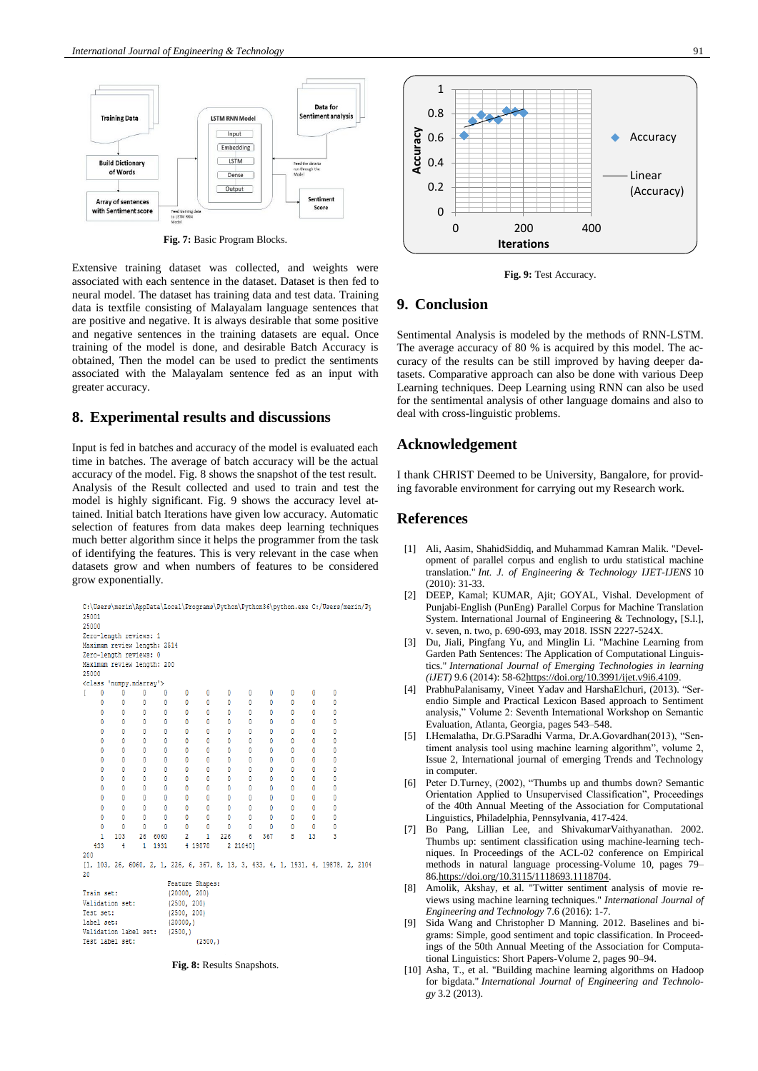

**Fig. 7:** Basic Program Blocks.

Extensive training dataset was collected, and weights were associated with each sentence in the dataset. Dataset is then fed to neural model. The dataset has training data and test data. Training data is textfile consisting of Malayalam language sentences that are positive and negative. It is always desirable that some positive and negative sentences in the training datasets are equal. Once training of the model is done, and desirable Batch Accuracy is obtained, Then the model can be used to predict the sentiments associated with the Malayalam sentence fed as an input with greater accuracy.

#### **8. Experimental results and discussions**

Input is fed in batches and accuracy of the model is evaluated each time in batches. The average of batch accuracy will be the actual accuracy of the model. Fig. 8 shows the snapshot of the test result. Analysis of the Result collected and used to train and test the model is highly significant. Fig. 9 shows the accuracy level attained. Initial batch Iterations have given low accuracy. Automatic selection of features from data makes deep learning techniques much better algorithm since it helps the programmer from the task of identifying the features. This is very relevant in the case when datasets grow and when numbers of features to be considered grow exponentially.

```
\verb|C:\Users\merin\AppData\Local\Programs\Python\Python36\python.exe C://Bers/merin/Py25001
25000
 Zero-length reviews: 1
Maximum review length: 2514
Zero-length reviews: 0
Maximum review length: 200
25000
 <class
                 'numpy.ndarray
                                                   \overline{a}\mathbf{0}Ó
                                                                                                                     \mathbf{0}\mathbf{0}\overline{0}\mathbf{0}T
           \mathfrak{c}\overline{0}\overline{0}\theta\overline{0}\overline{0}\ddot{\mathbf{0}}\mathbf{0}\overline{0}\mathbf{0}\overline{0}\mathbf{0}\theta\theta\theta\theta\theta\mathbf{0}\theta\theta\mathbf{0}\mathbf{0}\theta\mathbf{0}\mathbf{0}\mathfrak{c}\theta\circ\theta\theta\mathfrak{g}\theta\theta\theta\mathbf{0}\theta\theta\theta\theta\theta\theta\theta\theta\theta\mathfrak{g}\theta\theta\overline{0}\overline{0}\theta\sqrt{2}\overline{0}\theta\overline{0}\overline{0}\theta\theta\theta\theta\theta\theta\theta\theta\mathbf 0\theta\theta\mathbf{0}\theta\overline{0}\overline{0}\theta\theta\theta\theta\mathfrak{g}\mathbf{0}\overline{0}\mathbf{0}\overline{0}\circ\overline{0}\overline{0}\theta\theta\overline{0}\mathbf 0\mathbf{0}\mathbf{0}0
                        ^{\circ}^{\circ}0
                                                                \mathbf 00
                                                                                                                                  0
           \mathfrak{g}\mathbf{0}\mathbf{0}\mathbf{0}\mathbf{0}\mathbf{0}\mathbf{0}\theta\mathbf{0}\theta\theta\theta\theta\mathbf 06060
                    103
                                   26
                                                                                      226
                                                                                                                367
                                                                                                                                  8
                                                                                                                                              13
                                                                                                                                                             3
       433
                                     \,1\,1931
                                                                 4 19878
                                                                                          2 21040]
 200
 [1, 103, 26, 6060, 2, 1, 226, 6, 367, 8, 13, 3, 433, 4, 1, 1931, 4, 19878, 2, 2104
                                                     Feature Shapes:
Train set:
                                                      (20000, 200)Validation set:
                                                      (2500, 200)Test set:
                                                      (2500, 200)label set:
                                                      (20000, )Validation label set:
                                                      (2500, )Test label set:
                                                                        (2500, )
```
**Fig. 8:** Results Snapshots.



**Fig. 9:** Test Accuracy.

## **9. Conclusion**

Sentimental Analysis is modeled by the methods of RNN-LSTM. The average accuracy of 80 % is acquired by this model. The accuracy of the results can be still improved by having deeper datasets. Comparative approach can also be done with various Deep Learning techniques. Deep Learning using RNN can also be used for the sentimental analysis of other language domains and also to deal with cross-linguistic problems.

## **Acknowledgement**

I thank CHRIST Deemed to be University, Bangalore, for providing favorable environment for carrying out my Research work.

#### **References**

- [1] Ali, Aasim, ShahidSiddiq, and Muhammad Kamran Malik. "Development of parallel corpus and english to urdu statistical machine translation." *Int. J. of Engineering & Technology IJET-IJENS* 10 (2010): 31-33.
- [2] DEEP, Kamal; KUMAR, Ajit; GOYAL, Vishal. Development of Punjabi-English (PunEng) Parallel Corpus for Machine Translation System. International Journal of Engineering & Technology**,** [S.l.], v. seven, n. two, p. 690-693, may 2018. ISSN 2227-524X.
- [3] Du, Jiali, Pingfang Yu, and Minglin Li. "Machine Learning from Garden Path Sentences: The Application of Computational Linguistics." *International Journal of Emerging Technologies in learning (iJET)* 9.6 (2014): 58-6[2https://doi.org/10.3991/ijet.v9i6.4109.](https://doi.org/10.3991/ijet.v9i6.4109)
- [4] PrabhuPalanisamy, Vineet Yadav and HarshaElchuri, (2013). "Serendio Simple and Practical Lexicon Based approach to Sentiment analysis," Volume 2: Seventh International Workshop on Semantic Evaluation, Atlanta, Georgia, pages 543–548.
- [5] I.Hemalatha, Dr.G.PSaradhi Varma, Dr.A.Govardhan(2013), "Sentiment analysis tool using machine learning algorithm", volume 2, Issue 2, International journal of emerging Trends and Technology in computer.
- [6] Peter D.Turney, (2002), "Thumbs up and thumbs down? Semantic Orientation Applied to Unsupervised Classification", Proceedings of the 40th Annual Meeting of the Association for Computational Linguistics, Philadelphia, Pennsylvania, 417-424.
- [7] Bo Pang, Lillian Lee, and ShivakumarVaithyanathan. 2002. Thumbs up: sentiment classification using machine-learning techniques. In Proceedings of the ACL-02 conference on Empirical methods in natural language processing-Volume 10, pages 79– 8[6.https://doi.org/10.3115/1118693.1118704.](https://doi.org/10.3115/1118693.1118704)
- [8] Amolik, Akshay, et al. "Twitter sentiment analysis of movie reviews using machine learning techniques." *International Journal of Engineering and Technology* 7.6 (2016): 1-7.
- [9] Sida Wang and Christopher D Manning. 2012. Baselines and bigrams: Simple, good sentiment and topic classification. In Proceedings of the 50th Annual Meeting of the Association for Computational Linguistics: Short Papers-Volume 2, pages 90–94.
- [10] Asha, T., et al. "Building machine learning algorithms on Hadoop for bigdata." *International Journal of Engineering and Technology* 3.2 (2013).